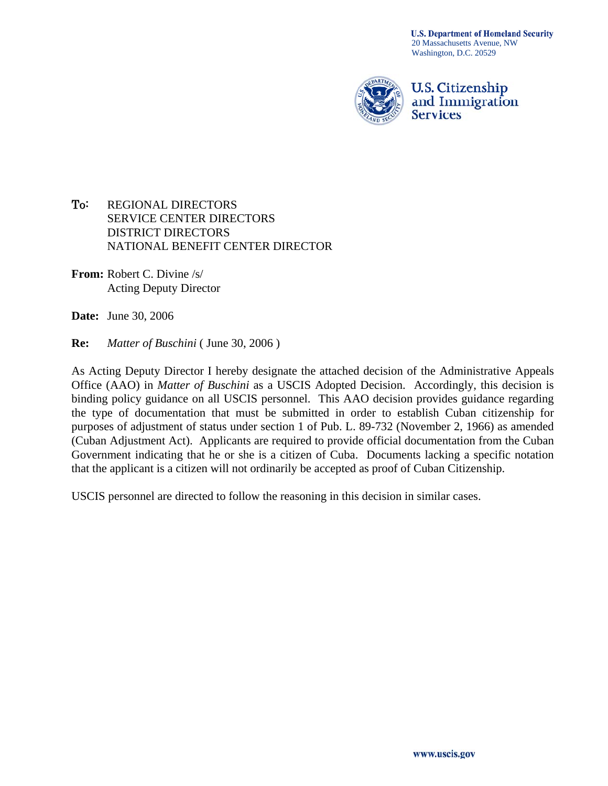

To: REGIONAL DIRECTORS SERVICE CENTER DIRECTORS DISTRICT DIRECTORS NATIONAL BENEFIT CENTER DIRECTOR

**From:** Robert C. Divine /s/ Acting Deputy Director

**Date:** June 30, 2006

**Re:** *Matter of Buschini* ( June 30, 2006 )

As Acting Deputy Director I hereby designate the attached decision of the Administrative Appeals Office (AAO) in *Matter of Buschini* as a USCIS Adopted Decision. Accordingly, this decision is binding policy guidance on all USCIS personnel. This AAO decision provides guidance regarding the type of documentation that must be submitted in order to establish Cuban citizenship for purposes of adjustment of status under section 1 of Pub. L. 89-732 (November 2, 1966) as amended (Cuban Adjustment Act). Applicants are required to provide official documentation from the Cuban Government indicating that he or she is a citizen of Cuba. Documents lacking a specific notation that the applicant is a citizen will not ordinarily be accepted as proof of Cuban Citizenship.

USCIS personnel are directed to follow the reasoning in this decision in similar cases.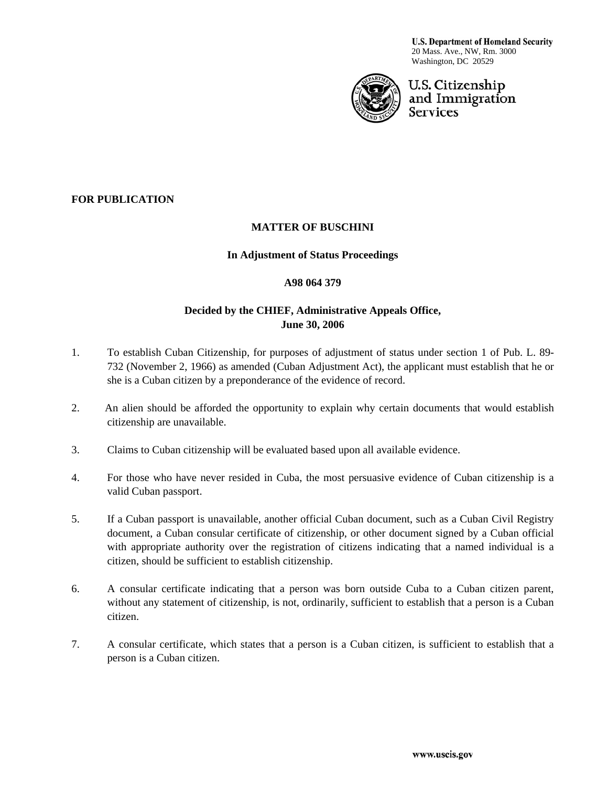**U.S. Department of Homeland Security** 20 Mass. Ave., NW, Rm. 3000 Washington, DC 20529



# U.S. Citizenship and Immigration **Services**

# **FOR PUBLICATION**

### **MATTER OF BUSCHINI**

### **In Adjustment of Status Proceedings**

#### **A98 064 379**

# **Decided by the CHIEF, Administrative Appeals Office, June 30, 2006**

- 1. To establish Cuban Citizenship, for purposes of adjustment of status under section 1 of Pub. L. 89- 732 (November 2, 1966) as amended (Cuban Adjustment Act), the applicant must establish that he or she is a Cuban citizen by a preponderance of the evidence of record.
- 2. An alien should be afforded the opportunity to explain why certain documents that would establish citizenship are unavailable.
- 3. Claims to Cuban citizenship will be evaluated based upon all available evidence.
- 4. For those who have never resided in Cuba, the most persuasive evidence of Cuban citizenship is a valid Cuban passport.
- 5. If a Cuban passport is unavailable, another official Cuban document, such as a Cuban Civil Registry document, a Cuban consular certificate of citizenship, or other document signed by a Cuban official with appropriate authority over the registration of citizens indicating that a named individual is a citizen, should be sufficient to establish citizenship.
- 6. A consular certificate indicating that a person was born outside Cuba to a Cuban citizen parent, without any statement of citizenship, is not, ordinarily, sufficient to establish that a person is a Cuban citizen.
- 7. A consular certificate, which states that a person is a Cuban citizen, is sufficient to establish that a person is a Cuban citizen.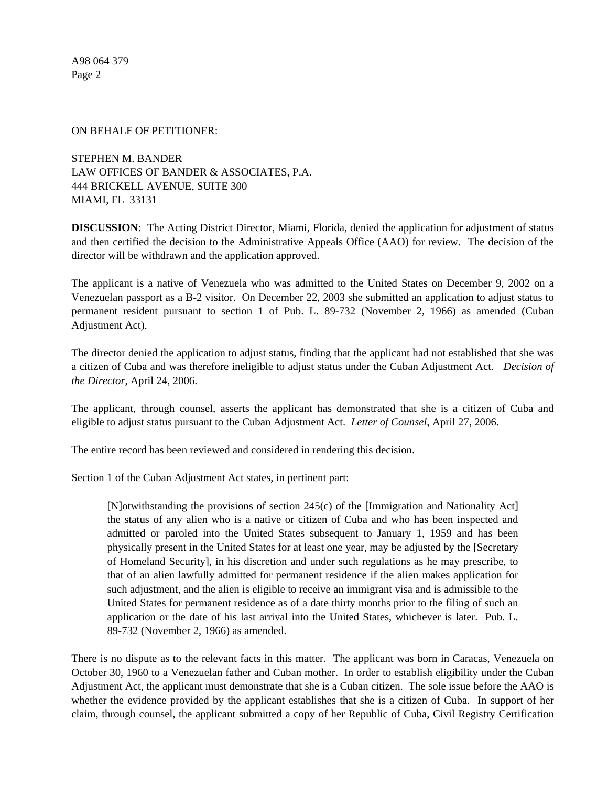#### ON BEHALF OF PETITIONER:

STEPHEN M. BANDER LAW OFFICES OF BANDER & ASSOCIATES, P.A. 444 BRICKELL AVENUE, SUITE 300 MIAMI, FL 33131

**DISCUSSION**: The Acting District Director, Miami, Florida, denied the application for adjustment of status and then certified the decision to the Administrative Appeals Office (AAO) for review. The decision of the director will be withdrawn and the application approved.

The applicant is a native of Venezuela who was admitted to the United States on December 9, 2002 on a Venezuelan passport as a B-2 visitor. On December 22, 2003 she submitted an application to adjust status to permanent resident pursuant to section 1 of Pub. L. 89-732 (November 2, 1966) as amended (Cuban Adjustment Act).

The director denied the application to adjust status, finding that the applicant had not established that she was a citizen of Cuba and was therefore ineligible to adjust status under the Cuban Adjustment Act. *Decision of the Director,* April 24, 2006.

The applicant, through counsel, asserts the applicant has demonstrated that she is a citizen of Cuba and eligible to adjust status pursuant to the Cuban Adjustment Act. *Letter of Counsel*, April 27, 2006.

The entire record has been reviewed and considered in rendering this decision.

Section 1 of the Cuban Adjustment Act states, in pertinent part:

[N]otwithstanding the provisions of section 245(c) of the [Immigration and Nationality Act] the status of any alien who is a native or citizen of Cuba and who has been inspected and admitted or paroled into the United States subsequent to January 1, 1959 and has been physically present in the United States for at least one year, may be adjusted by the [Secretary of Homeland Security], in his discretion and under such regulations as he may prescribe, to that of an alien lawfully admitted for permanent residence if the alien makes application for such adjustment, and the alien is eligible to receive an immigrant visa and is admissible to the United States for permanent residence as of a date thirty months prior to the filing of such an application or the date of his last arrival into the United States, whichever is later. Pub. L. 89-732 (November 2, 1966) as amended.

There is no dispute as to the relevant facts in this matter. The applicant was born in Caracas, Venezuela on October 30, 1960 to a Venezuelan father and Cuban mother. In order to establish eligibility under the Cuban Adjustment Act, the applicant must demonstrate that she is a Cuban citizen. The sole issue before the AAO is whether the evidence provided by the applicant establishes that she is a citizen of Cuba. In support of her claim, through counsel, the applicant submitted a copy of her Republic of Cuba, Civil Registry Certification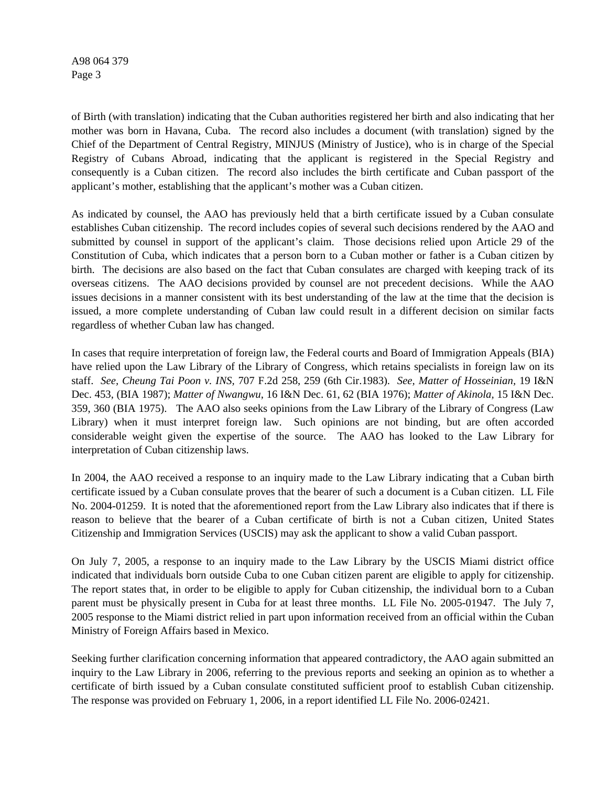of Birth (with translation) indicating that the Cuban authorities registered her birth and also indicating that her mother was born in Havana, Cuba. The record also includes a document (with translation) signed by the Chief of the Department of Central Registry, MINJUS (Ministry of Justice), who is in charge of the Special Registry of Cubans Abroad, indicating that the applicant is registered in the Special Registry and consequently is a Cuban citizen. The record also includes the birth certificate and Cuban passport of the applicant's mother, establishing that the applicant's mother was a Cuban citizen.

As indicated by counsel, the AAO has previously held that a birth certificate issued by a Cuban consulate establishes Cuban citizenship. The record includes copies of several such decisions rendered by the AAO and submitted by counsel in support of the applicant's claim. Those decisions relied upon Article 29 of the Constitution of Cuba, which indicates that a person born to a Cuban mother or father is a Cuban citizen by birth. The decisions are also based on the fact that Cuban consulates are charged with keeping track of its overseas citizens. The AAO decisions provided by counsel are not precedent decisions. While the AAO issues decisions in a manner consistent with its best understanding of the law at the time that the decision is issued, a more complete understanding of Cuban law could result in a different decision on similar facts regardless of whether Cuban law has changed.

In cases that require interpretation of foreign law, the Federal courts and Board of Immigration Appeals (BIA) have relied upon the Law Library of the Library of Congress, which retains specialists in foreign law on its staff. *See, Cheung Tai Poon v. INS,* [707 F.2d 258, 259 \(6th Cir.1983\)](http://web2.westlaw.com/find/default.wl?tf=-1&rs=WLW6.05&referencepositiontype=S&serialnum=1983123771&fn=_top&sv=Split&tc=-1&findtype=Y&referenceposition=259&db=350&vr=2.0&rp=%2ffind%2fdefault.wl&mt=Westlaw). *See, Matter of Hosseinian,* 19 I&N Dec. 453, (BIA 1987); *Matter of Nwangwu*, 16 I&N Dec. 61, 62 (BIA 1976); *[Matter of Akinola,](http://web2.westlaw.com/find/default.wl?tf=-1&rs=WLW6.05&referencepositiontype=S&serialnum=1975022255&fn=_top&sv=Split&tc=-1&findtype=Y&referenceposition=360&db=1650&vr=2.0&rp=%2ffind%2fdefault.wl&mt=Westlaw)* 15 I&N Dec. [359, 360 \(BIA 1975\).](http://web2.westlaw.com/find/default.wl?tf=-1&rs=WLW6.05&referencepositiontype=S&serialnum=1975022255&fn=_top&sv=Split&tc=-1&findtype=Y&referenceposition=360&db=1650&vr=2.0&rp=%2ffind%2fdefault.wl&mt=Westlaw) The AAO also seeks opinions from the Law Library of the Library of Congress (Law Library) when it must interpret foreign law. Such opinions are not binding, but are often accorded considerable weight given the expertise of the source. The AAO has looked to the Law Library for interpretation of Cuban citizenship laws.

In 2004, the AAO received a response to an inquiry made to the Law Library indicating that a Cuban birth certificate issued by a Cuban consulate proves that the bearer of such a document is a Cuban citizen. LL File No. 2004-01259. It is noted that the aforementioned report from the Law Library also indicates that if there is reason to believe that the bearer of a Cuban certificate of birth is not a Cuban citizen, United States Citizenship and Immigration Services (USCIS) may ask the applicant to show a valid Cuban passport.

On July 7, 2005, a response to an inquiry made to the Law Library by the USCIS Miami district office indicated that individuals born outside Cuba to one Cuban citizen parent are eligible to apply for citizenship. The report states that, in order to be eligible to apply for Cuban citizenship, the individual born to a Cuban parent must be physically present in Cuba for at least three months. LL File No. 2005-01947. The July 7, 2005 response to the Miami district relied in part upon information received from an official within the Cuban Ministry of Foreign Affairs based in Mexico.

Seeking further clarification concerning information that appeared contradictory, the AAO again submitted an inquiry to the Law Library in 2006, referring to the previous reports and seeking an opinion as to whether a certificate of birth issued by a Cuban consulate constituted sufficient proof to establish Cuban citizenship. The response was provided on February 1, 2006, in a report identified LL File No. 2006-02421.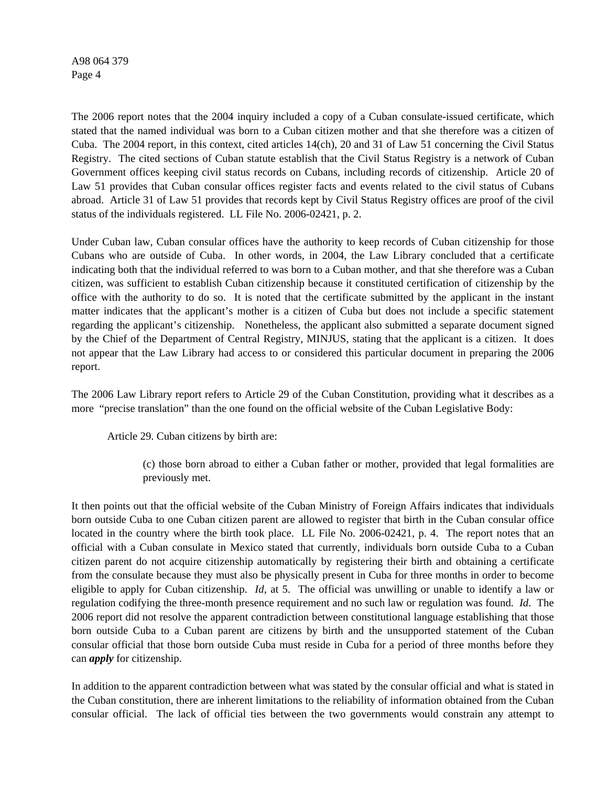The 2006 report notes that the 2004 inquiry included a copy of a Cuban consulate-issued certificate, which stated that the named individual was born to a Cuban citizen mother and that she therefore was a citizen of Cuba. The 2004 report, in this context, cited articles 14(ch), 20 and 31 of Law 51 concerning the Civil Status Registry. The cited sections of Cuban statute establish that the Civil Status Registry is a network of Cuban Government offices keeping civil status records on Cubans, including records of citizenship. Article 20 of Law 51 provides that Cuban consular offices register facts and events related to the civil status of Cubans abroad. Article 31 of Law 51 provides that records kept by Civil Status Registry offices are proof of the civil status of the individuals registered. LL File No. 2006-02421, p. 2.

Under Cuban law, Cuban consular offices have the authority to keep records of Cuban citizenship for those Cubans who are outside of Cuba. In other words, in 2004, the Law Library concluded that a certificate indicating both that the individual referred to was born to a Cuban mother, and that she therefore was a Cuban citizen, was sufficient to establish Cuban citizenship because it constituted certification of citizenship by the office with the authority to do so. It is noted that the certificate submitted by the applicant in the instant matter indicates that the applicant's mother is a citizen of Cuba but does not include a specific statement regarding the applicant's citizenship. Nonetheless, the applicant also submitted a separate document signed by the Chief of the Department of Central Registry, MINJUS, stating that the applicant is a citizen. It does not appear that the Law Library had access to or considered this particular document in preparing the 2006 report.

The 2006 Law Library report refers to Article 29 of the Cuban Constitution, providing what it describes as a more "precise translation" than the one found on the official website of the Cuban Legislative Body:

Article 29. Cuban citizens by birth are:

(c) those born abroad to either a Cuban father or mother, provided that legal formalities are previously met.

It then points out that the official website of the Cuban Ministry of Foreign Affairs indicates that individuals born outside Cuba to one Cuban citizen parent are allowed to register that birth in the Cuban consular office located in the country where the birth took place. LL File No. 2006-02421, p. 4. The report notes that an official with a Cuban consulate in Mexico stated that currently, individuals born outside Cuba to a Cuban citizen parent do not acquire citizenship automatically by registering their birth and obtaining a certificate from the consulate because they must also be physically present in Cuba for three months in order to become eligible to apply for Cuban citizenship. *Id*, at 5. The official was unwilling or unable to identify a law or regulation codifying the three-month presence requirement and no such law or regulation was found. *Id*. The 2006 report did not resolve the apparent contradiction between constitutional language establishing that those born outside Cuba to a Cuban parent are citizens by birth and the unsupported statement of the Cuban consular official that those born outside Cuba must reside in Cuba for a period of three months before they can *apply* for citizenship.

In addition to the apparent contradiction between what was stated by the consular official and what is stated in the Cuban constitution, there are inherent limitations to the reliability of information obtained from the Cuban consular official. The lack of official ties between the two governments would constrain any attempt to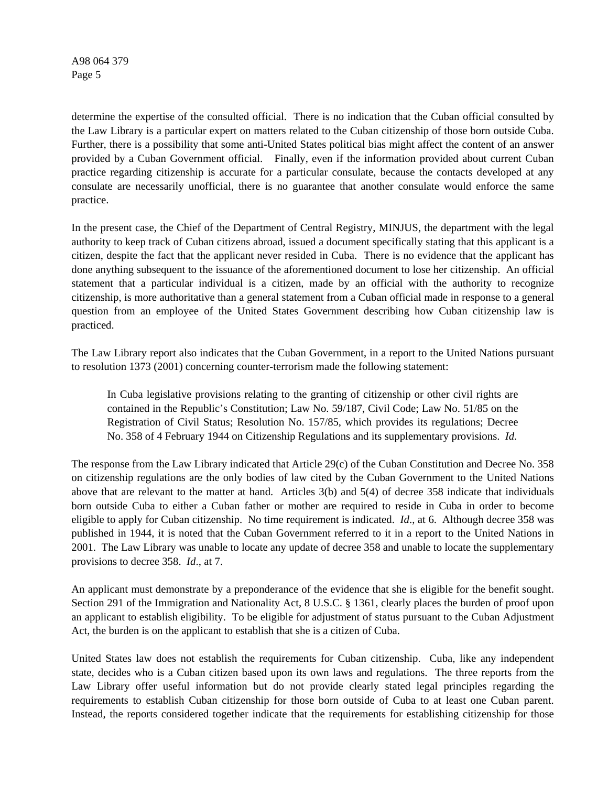determine the expertise of the consulted official. There is no indication that the Cuban official consulted by the Law Library is a particular expert on matters related to the Cuban citizenship of those born outside Cuba. Further, there is a possibility that some anti-United States political bias might affect the content of an answer provided by a Cuban Government official. Finally, even if the information provided about current Cuban practice regarding citizenship is accurate for a particular consulate, because the contacts developed at any consulate are necessarily unofficial, there is no guarantee that another consulate would enforce the same practice.

In the present case, the Chief of the Department of Central Registry, MINJUS, the department with the legal authority to keep track of Cuban citizens abroad, issued a document specifically stating that this applicant is a citizen, despite the fact that the applicant never resided in Cuba. There is no evidence that the applicant has done anything subsequent to the issuance of the aforementioned document to lose her citizenship. An official statement that a particular individual is a citizen, made by an official with the authority to recognize citizenship, is more authoritative than a general statement from a Cuban official made in response to a general question from an employee of the United States Government describing how Cuban citizenship law is practiced.

The Law Library report also indicates that the Cuban Government, in a report to the United Nations pursuant to resolution 1373 (2001) concerning counter-terrorism made the following statement:

In Cuba legislative provisions relating to the granting of citizenship or other civil rights are contained in the Republic's Constitution; Law No. 59/187, Civil Code; Law No. 51/85 on the Registration of Civil Status; Resolution No. 157/85, which provides its regulations; Decree No. 358 of 4 February 1944 on Citizenship Regulations and its supplementary provisions. *Id.* 

The response from the Law Library indicated that Article 29(c) of the Cuban Constitution and Decree No. 358 on citizenship regulations are the only bodies of law cited by the Cuban Government to the United Nations above that are relevant to the matter at hand. Articles 3(b) and 5(4) of decree 358 indicate that individuals born outside Cuba to either a Cuban father or mother are required to reside in Cuba in order to become eligible to apply for Cuban citizenship. No time requirement is indicated. *Id*., at 6. Although decree 358 was published in 1944, it is noted that the Cuban Government referred to it in a report to the United Nations in 2001. The Law Library was unable to locate any update of decree 358 and unable to locate the supplementary provisions to decree 358. *Id*., at 7.

An applicant must demonstrate by a preponderance of the evidence that she is eligible for the benefit sought. Section 291 of the Immigration and Nationality Act, 8 U.S.C. § 1361, clearly places the burden of proof upon an applicant to establish eligibility. To be eligible for adjustment of status pursuant to the Cuban Adjustment Act, the burden is on the applicant to establish that she is a citizen of Cuba.

United States law does not establish the requirements for Cuban citizenship. Cuba, like any independent state, decides who is a Cuban citizen based upon its own laws and regulations. The three reports from the Law Library offer useful information but do not provide clearly stated legal principles regarding the requirements to establish Cuban citizenship for those born outside of Cuba to at least one Cuban parent. Instead, the reports considered together indicate that the requirements for establishing citizenship for those